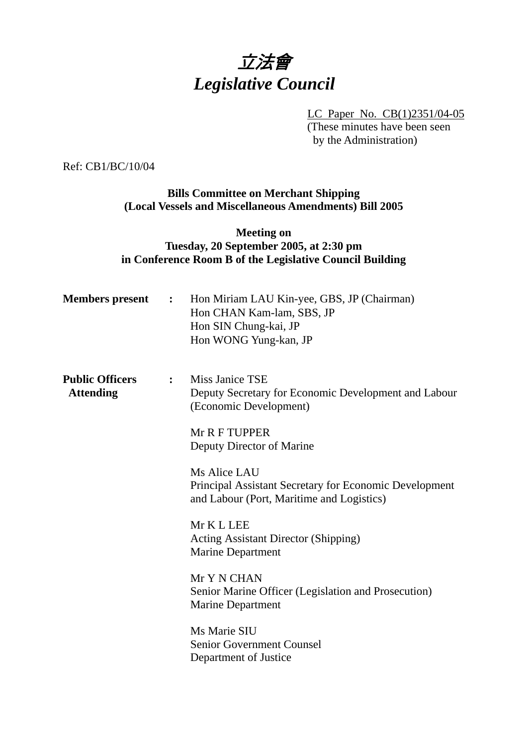# 立法會 *Legislative Council*

LC Paper No. CB(1)2351/04-05 (These minutes have been seen by the Administration)

Ref: CB1/BC/10/04

## **Bills Committee on Merchant Shipping (Local Vessels and Miscellaneous Amendments) Bill 2005**

## **Meeting on Tuesday, 20 September 2005, at 2:30 pm in Conference Room B of the Legislative Council Building**

| <b>Members</b> present                     | $\mathbf{L}$     | Hon Miriam LAU Kin-yee, GBS, JP (Chairman)<br>Hon CHAN Kam-lam, SBS, JP<br>Hon SIN Chung-kai, JP<br>Hon WONG Yung-kan, JP |
|--------------------------------------------|------------------|---------------------------------------------------------------------------------------------------------------------------|
| <b>Public Officers</b><br><b>Attending</b> | $\ddot{\bullet}$ | Miss Janice TSE<br>Deputy Secretary for Economic Development and Labour<br>(Economic Development)                         |
|                                            |                  | Mr R F TUPPER<br>Deputy Director of Marine                                                                                |
|                                            |                  | Ms Alice LAU<br>Principal Assistant Secretary for Economic Development<br>and Labour (Port, Maritime and Logistics)       |
|                                            |                  | Mr K L LEE<br><b>Acting Assistant Director (Shipping)</b><br><b>Marine Department</b>                                     |
|                                            |                  | Mr Y N CHAN<br>Senior Marine Officer (Legislation and Prosecution)<br><b>Marine Department</b>                            |
|                                            |                  | Ms Marie SIU<br><b>Senior Government Counsel</b><br>Department of Justice                                                 |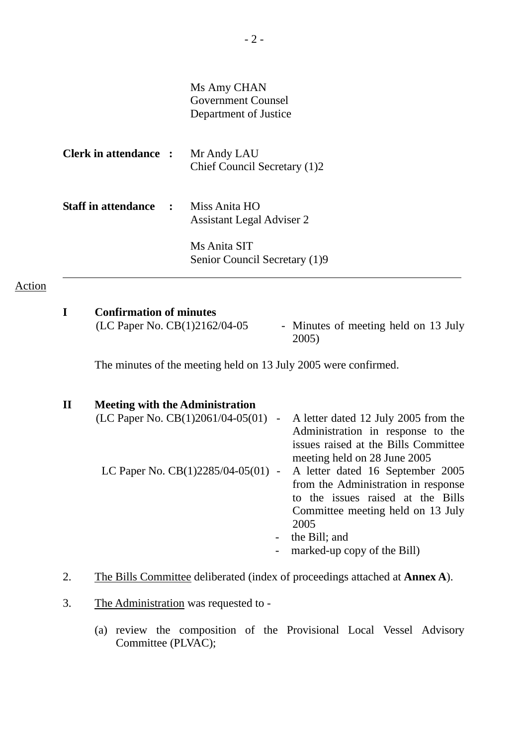| Ms Amy CHAN           |
|-----------------------|
| Government Counsel    |
| Department of Justice |

| <b>Clerk in attendance :</b> | Mr Andy LAU<br>Chief Council Secretary (1)2       |
|------------------------------|---------------------------------------------------|
| <b>Staff in attendance :</b> | Miss Anita HO<br><b>Assistant Legal Adviser 2</b> |
|                              | Ms Anita SIT<br>Senior Council Secretary (1)9     |

#### Action

### **I Confirmation of minutes**

 $(LC$  Paper No.  $CB(1)2162/04-05$  - Minutes of meeting held on 13 July 2005)

The minutes of the meeting held on 13 July 2005 were confirmed.

| $\mathbf H$ | <b>Meeting with the Administration</b>            |                                      |
|-------------|---------------------------------------------------|--------------------------------------|
|             | (LC Paper No. $CB(1)2061/04-05(01)$<br>$\sim$ $-$ | A letter dated 12 July 2005 from the |
|             |                                                   | Administration in response to the    |
|             |                                                   | issues raised at the Bills Committee |
|             |                                                   | meeting held on 28 June 2005         |
|             | LC Paper No. CB(1)2285/04-05(01) -                | A letter dated 16 September 2005     |
|             |                                                   | from the Administration in response  |
|             |                                                   | to the issues raised at the Bills    |
|             |                                                   | Committee meeting held on 13 July    |
|             |                                                   | 2005                                 |
|             | $\overline{\phantom{0}}$                          | the Bill; and                        |
|             |                                                   | marked-up copy of the Bill)          |

# 2. The Bills Committee deliberated (index of proceedings attached at **Annex A**).

- 3. The Administration was requested to
	- (a) review the composition of the Provisional Local Vessel Advisory Committee (PLVAC);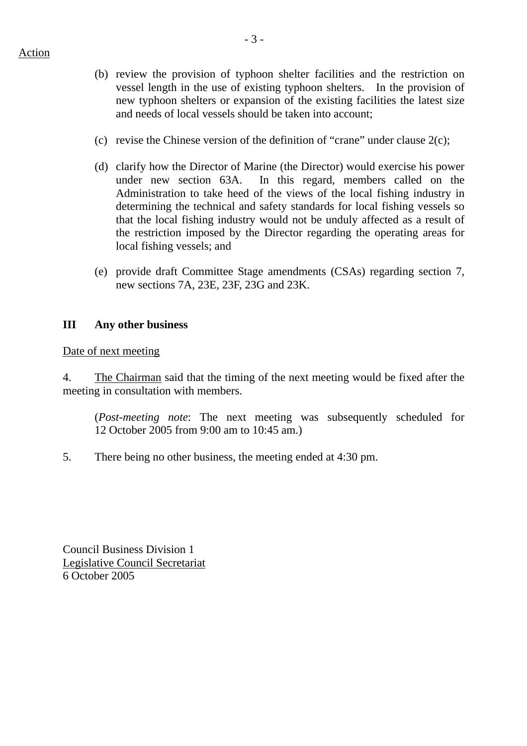- (b) review the provision of typhoon shelter facilities and the restriction on vessel length in the use of existing typhoon shelters. In the provision of new typhoon shelters or expansion of the existing facilities the latest size and needs of local vessels should be taken into account;
- (c) revise the Chinese version of the definition of "crane" under clause 2(c);
- (d) clarify how the Director of Marine (the Director) would exercise his power under new section 63A. In this regard, members called on the Administration to take heed of the views of the local fishing industry in determining the technical and safety standards for local fishing vessels so that the local fishing industry would not be unduly affected as a result of the restriction imposed by the Director regarding the operating areas for local fishing vessels; and
- (e) provide draft Committee Stage amendments (CSAs) regarding section 7, new sections 7A, 23E, 23F, 23G and 23K.

### **III Any other business**

#### Date of next meeting

4. The Chairman said that the timing of the next meeting would be fixed after the meeting in consultation with members.

(*Post-meeting note*: The next meeting was subsequently scheduled for 12 October 2005 from 9:00 am to 10:45 am.)

5. There being no other business, the meeting ended at 4:30 pm.

Council Business Division 1 Legislative Council Secretariat 6 October 2005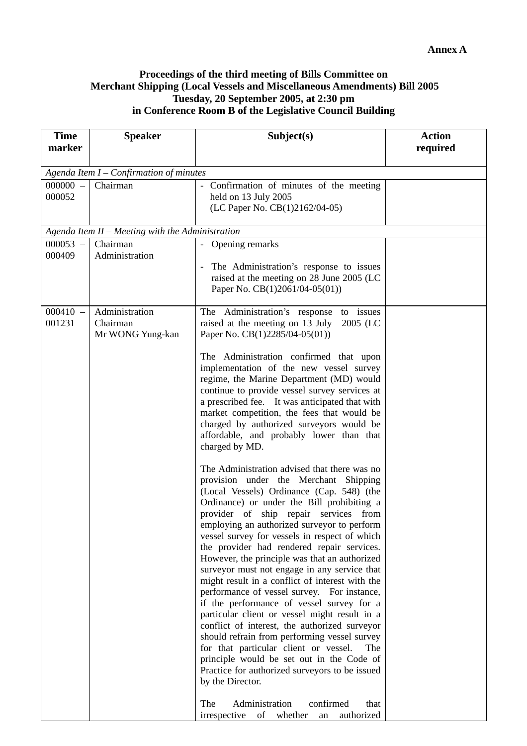## **Proceedings of the third meeting of Bills Committee on Merchant Shipping (Local Vessels and Miscellaneous Amendments) Bill 2005 Tuesday, 20 September 2005, at 2:30 pm in Conference Room B of the Legislative Council Building**

| <b>Time</b><br>marker | <b>Speaker</b>                                   | Subject(s)                                                                                                                                                                                                                                                                                                                                                                                                                                                                                                                                                                                                                                                                                                                                                                                                                                                                                                                                                                                                                                                                                                                                                                                                                                                                                                                                                                                                                                                                                                                                                         | <b>Action</b><br>required |  |  |
|-----------------------|--------------------------------------------------|--------------------------------------------------------------------------------------------------------------------------------------------------------------------------------------------------------------------------------------------------------------------------------------------------------------------------------------------------------------------------------------------------------------------------------------------------------------------------------------------------------------------------------------------------------------------------------------------------------------------------------------------------------------------------------------------------------------------------------------------------------------------------------------------------------------------------------------------------------------------------------------------------------------------------------------------------------------------------------------------------------------------------------------------------------------------------------------------------------------------------------------------------------------------------------------------------------------------------------------------------------------------------------------------------------------------------------------------------------------------------------------------------------------------------------------------------------------------------------------------------------------------------------------------------------------------|---------------------------|--|--|
|                       | Agenda Item $I$ – Confirmation of minutes        |                                                                                                                                                                                                                                                                                                                                                                                                                                                                                                                                                                                                                                                                                                                                                                                                                                                                                                                                                                                                                                                                                                                                                                                                                                                                                                                                                                                                                                                                                                                                                                    |                           |  |  |
| $000000 -$<br>000052  | Chairman                                         | - Confirmation of minutes of the meeting<br>held on 13 July 2005<br>(LC Paper No. CB(1)2162/04-05)                                                                                                                                                                                                                                                                                                                                                                                                                                                                                                                                                                                                                                                                                                                                                                                                                                                                                                                                                                                                                                                                                                                                                                                                                                                                                                                                                                                                                                                                 |                           |  |  |
|                       | Agenda Item II - Meeting with the Administration |                                                                                                                                                                                                                                                                                                                                                                                                                                                                                                                                                                                                                                                                                                                                                                                                                                                                                                                                                                                                                                                                                                                                                                                                                                                                                                                                                                                                                                                                                                                                                                    |                           |  |  |
| $000053 -$<br>000409  | Chairman<br>Administration                       | Opening remarks<br>The Administration's response to issues<br>raised at the meeting on 28 June 2005 (LC<br>Paper No. CB(1)2061/04-05(01))                                                                                                                                                                                                                                                                                                                                                                                                                                                                                                                                                                                                                                                                                                                                                                                                                                                                                                                                                                                                                                                                                                                                                                                                                                                                                                                                                                                                                          |                           |  |  |
| $000410 -$<br>001231  | Administration<br>Chairman<br>Mr WONG Yung-kan   | The Administration's response to issues<br>raised at the meeting on 13 July<br>2005 (LC<br>Paper No. CB(1)2285/04-05(01))<br>The Administration confirmed that upon<br>implementation of the new vessel survey<br>regime, the Marine Department (MD) would<br>continue to provide vessel survey services at<br>a prescribed fee. It was anticipated that with<br>market competition, the fees that would be<br>charged by authorized surveyors would be<br>affordable, and probably lower than that<br>charged by MD.<br>The Administration advised that there was no<br>provision under the Merchant Shipping<br>(Local Vessels) Ordinance (Cap. 548) (the<br>Ordinance) or under the Bill prohibiting a<br>provider of ship repair services from<br>employing an authorized surveyor to perform<br>vessel survey for vessels in respect of which<br>the provider had rendered repair services.<br>However, the principle was that an authorized<br>surveyor must not engage in any service that<br>might result in a conflict of interest with the<br>performance of vessel survey. For instance,<br>if the performance of vessel survey for a<br>particular client or vessel might result in a<br>conflict of interest, the authorized surveyor<br>should refrain from performing vessel survey<br>for that particular client or vessel.<br>The<br>principle would be set out in the Code of<br>Practice for authorized surveyors to be issued<br>by the Director.<br>Administration<br>confirmed<br>The<br>that<br>irrespective of whether<br>authorized<br>an |                           |  |  |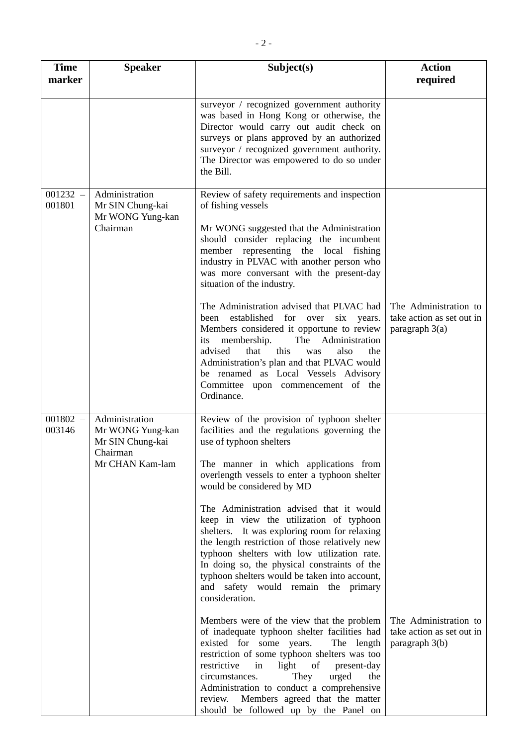| <b>Time</b><br>marker | <b>Speaker</b>                                                                        | Subject(s)                                                                                                                                                                                                                                                                                                                                                                                                                                                                                                                                                                                                                   | <b>Action</b><br>required                                              |
|-----------------------|---------------------------------------------------------------------------------------|------------------------------------------------------------------------------------------------------------------------------------------------------------------------------------------------------------------------------------------------------------------------------------------------------------------------------------------------------------------------------------------------------------------------------------------------------------------------------------------------------------------------------------------------------------------------------------------------------------------------------|------------------------------------------------------------------------|
|                       |                                                                                       | surveyor / recognized government authority<br>was based in Hong Kong or otherwise, the<br>Director would carry out audit check on<br>surveys or plans approved by an authorized<br>surveyor / recognized government authority.<br>The Director was empowered to do so under<br>the Bill.                                                                                                                                                                                                                                                                                                                                     |                                                                        |
| $001232 -$<br>001801  | Administration<br>Mr SIN Chung-kai<br>Mr WONG Yung-kan<br>Chairman                    | Review of safety requirements and inspection<br>of fishing vessels<br>Mr WONG suggested that the Administration<br>should consider replacing the incumbent<br>member representing the local fishing<br>industry in PLVAC with another person who<br>was more conversant with the present-day<br>situation of the industry.                                                                                                                                                                                                                                                                                                   |                                                                        |
|                       |                                                                                       | The Administration advised that PLVAC had<br>established<br>for over six years.<br>been<br>Members considered it opportune to review<br>membership.<br>The Administration<br>its<br>advised<br>that<br>this<br>was<br>also<br>the<br>Administration's plan and that PLVAC would<br>be renamed as Local Vessels Advisory<br>Committee upon commencement of the<br>Ordinance.                                                                                                                                                                                                                                                  | The Administration to<br>take action as set out in<br>paragraph $3(a)$ |
| $001802 -$<br>003146  | Administration<br>Mr WONG Yung-kan<br>Mr SIN Chung-kai<br>Chairman<br>Mr CHAN Kam-lam | Review of the provision of typhoon shelter<br>facilities and the regulations governing the<br>use of typhoon shelters<br>The manner in which applications from<br>overlength vessels to enter a typhoon shelter<br>would be considered by MD<br>The Administration advised that it would<br>keep in view the utilization of typhoon<br>shelters. It was exploring room for relaxing<br>the length restriction of those relatively new<br>typhoon shelters with low utilization rate.<br>In doing so, the physical constraints of the<br>typhoon shelters would be taken into account,<br>and safety would remain the primary |                                                                        |
|                       |                                                                                       | consideration.<br>Members were of the view that the problem<br>of inadequate typhoon shelter facilities had<br>existed for some years.<br>The length<br>restriction of some typhoon shelters was too<br><sub>of</sub><br>restrictive<br>in<br>light<br>present-day<br>urged<br>circumstances.<br>They<br>the<br>Administration to conduct a comprehensive<br>review. Members agreed that the matter<br>should be followed up by the Panel on                                                                                                                                                                                 | The Administration to<br>take action as set out in<br>paragraph 3(b)   |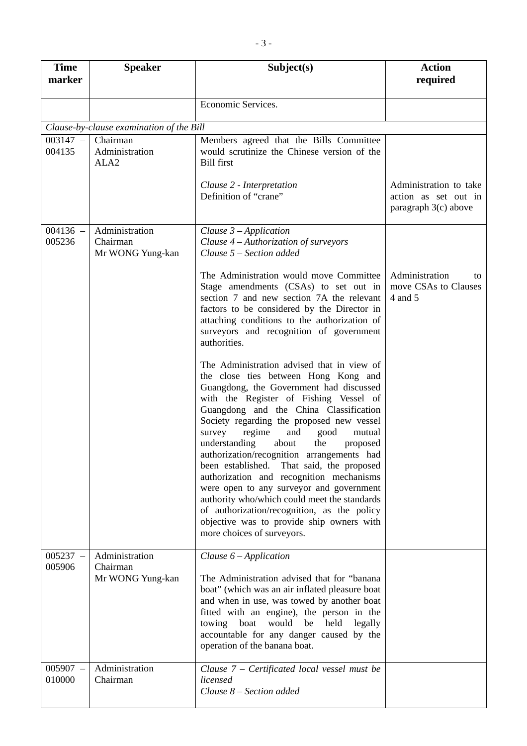| <b>Time</b><br>marker | <b>Speaker</b>                                 | Subject(s)                                                                                                                                                                                                                                                                                                                                                                                                                                                                                                                                                                                                                                                                                                               | <b>Action</b><br>required                                                |
|-----------------------|------------------------------------------------|--------------------------------------------------------------------------------------------------------------------------------------------------------------------------------------------------------------------------------------------------------------------------------------------------------------------------------------------------------------------------------------------------------------------------------------------------------------------------------------------------------------------------------------------------------------------------------------------------------------------------------------------------------------------------------------------------------------------------|--------------------------------------------------------------------------|
|                       |                                                | Economic Services.                                                                                                                                                                                                                                                                                                                                                                                                                                                                                                                                                                                                                                                                                                       |                                                                          |
|                       | Clause-by-clause examination of the Bill       |                                                                                                                                                                                                                                                                                                                                                                                                                                                                                                                                                                                                                                                                                                                          |                                                                          |
| $003147 -$<br>004135  | Chairman<br>Administration<br>ALA <sub>2</sub> | Members agreed that the Bills Committee<br>would scrutinize the Chinese version of the<br><b>Bill first</b>                                                                                                                                                                                                                                                                                                                                                                                                                                                                                                                                                                                                              |                                                                          |
|                       |                                                | Clause 2 - Interpretation<br>Definition of "crane"                                                                                                                                                                                                                                                                                                                                                                                                                                                                                                                                                                                                                                                                       | Administration to take<br>action as set out in<br>paragraph $3(c)$ above |
| $004136 -$<br>005236  | Administration<br>Chairman<br>Mr WONG Yung-kan | Clause $3$ – Application<br>Clause $4 -$ Authorization of surveyors<br>Clause 5 – Section added                                                                                                                                                                                                                                                                                                                                                                                                                                                                                                                                                                                                                          |                                                                          |
|                       |                                                | The Administration would move Committee<br>Stage amendments (CSAs) to set out in<br>section 7 and new section 7A the relevant<br>factors to be considered by the Director in<br>attaching conditions to the authorization of<br>surveyors and recognition of government<br>authorities.                                                                                                                                                                                                                                                                                                                                                                                                                                  | Administration<br>to<br>move CSAs to Clauses<br>4 and 5                  |
|                       |                                                | The Administration advised that in view of<br>the close ties between Hong Kong and<br>Guangdong, the Government had discussed<br>with the Register of Fishing Vessel of<br>Guangdong and the China Classification<br>Society regarding the proposed new vessel<br>regime<br>survey<br>and<br>good<br>mutual<br>understanding<br>about<br>the<br>proposed<br>authorization/recognition arrangements had<br>been established.<br>That said, the proposed<br>authorization and recognition mechanisms<br>were open to any surveyor and government<br>authority who/which could meet the standards<br>of authorization/recognition, as the policy<br>objective was to provide ship owners with<br>more choices of surveyors. |                                                                          |
| $005237 -$<br>005906  | Administration<br>Chairman<br>Mr WONG Yung-kan | Clause $6$ – Application<br>The Administration advised that for "banana"<br>boat" (which was an air inflated pleasure boat<br>and when in use, was towed by another boat<br>fitted with an engine), the person in the<br>towing boat<br>would be<br>held<br>legally<br>accountable for any danger caused by the<br>operation of the banana boat.                                                                                                                                                                                                                                                                                                                                                                         |                                                                          |
| $005907 -$<br>010000  | Administration<br>Chairman                     | Clause 7 - Certificated local vessel must be<br>licensed<br>Clause 8 – Section added                                                                                                                                                                                                                                                                                                                                                                                                                                                                                                                                                                                                                                     |                                                                          |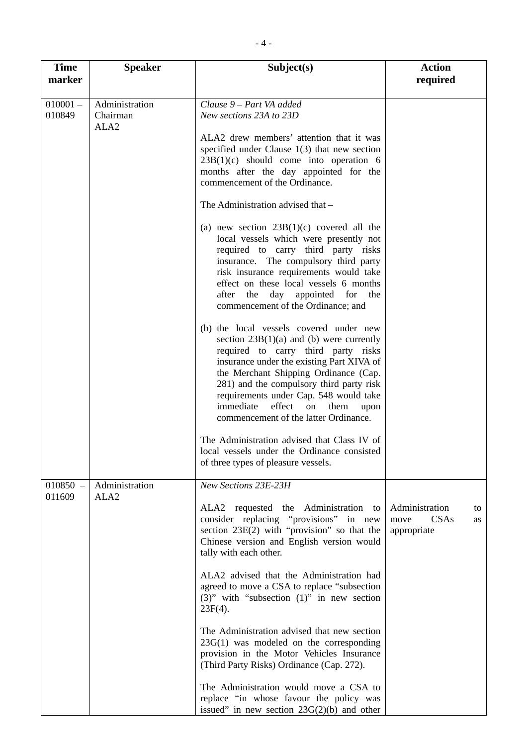| <b>Time</b><br>marker | <b>Speaker</b>                                 | Subject(s)                                                                                                                                                                                                                                                                                                                                                                                                                                                                                                                                                                                                                                                 | <b>Action</b><br>required                                 |
|-----------------------|------------------------------------------------|------------------------------------------------------------------------------------------------------------------------------------------------------------------------------------------------------------------------------------------------------------------------------------------------------------------------------------------------------------------------------------------------------------------------------------------------------------------------------------------------------------------------------------------------------------------------------------------------------------------------------------------------------------|-----------------------------------------------------------|
| $010001 -$<br>010849  | Administration<br>Chairman<br>ALA <sub>2</sub> | Clause 9 - Part VA added<br>New sections 23A to 23D<br>ALA2 drew members' attention that it was<br>specified under Clause $1(3)$ that new section<br>$23B(1)(c)$ should come into operation 6<br>months after the day appointed for the<br>commencement of the Ordinance.<br>The Administration advised that -<br>(a) new section $23B(1)(c)$ covered all the<br>local vessels which were presently not<br>required to carry third party risks<br>insurance. The compulsory third party<br>risk insurance requirements would take<br>effect on these local vessels 6 months<br>day appointed for<br>after the<br>the<br>commencement of the Ordinance; and |                                                           |
|                       |                                                | (b) the local vessels covered under new<br>section $23B(1)(a)$ and (b) were currently<br>required to carry third party risks<br>insurance under the existing Part XIVA of<br>the Merchant Shipping Ordinance (Cap.<br>281) and the compulsory third party risk<br>requirements under Cap. 548 would take<br>immediate<br>effect<br>on<br>them<br>upon<br>commencement of the latter Ordinance.<br>The Administration advised that Class IV of<br>local vessels under the Ordinance consisted<br>of three types of pleasure vessels.                                                                                                                        |                                                           |
| $010850 -$<br>011609  | Administration<br>ALA <sub>2</sub>             | New Sections 23E-23H<br>ALA2 requested the Administration to<br>consider replacing "provisions" in new<br>section $23E(2)$ with "provision" so that the<br>Chinese version and English version would<br>tally with each other.<br>ALA2 advised that the Administration had<br>agreed to move a CSA to replace "subsection<br>$(3)$ " with "subsection $(1)$ " in new section<br>$23F(4)$ .<br>The Administration advised that new section<br>$23G(1)$ was modeled on the corresponding<br>provision in the Motor Vehicles Insurance<br>(Third Party Risks) Ordinance (Cap. 272).                                                                           | Administration<br>to<br>CSAs<br>move<br>as<br>appropriate |
|                       |                                                | The Administration would move a CSA to<br>replace "in whose favour the policy was<br>issued" in new section $23G(2)(b)$ and other                                                                                                                                                                                                                                                                                                                                                                                                                                                                                                                          |                                                           |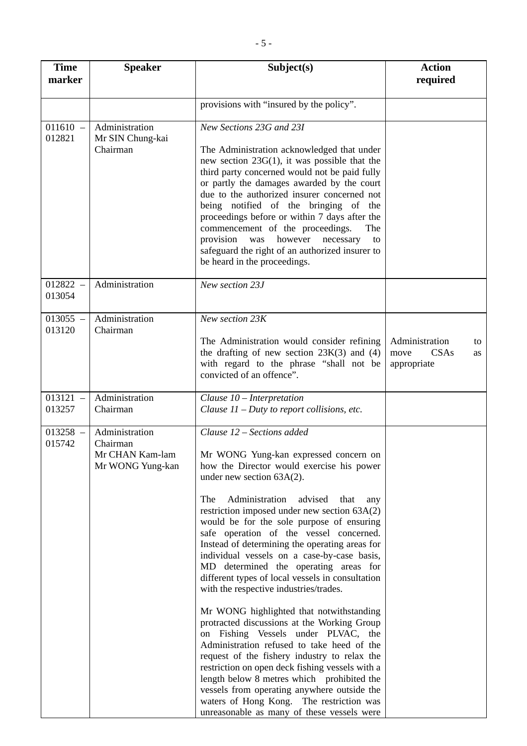| <b>Time</b><br>marker             | <b>Speaker</b>                                                    | Subject(s)                                                                                                                                                                                                                                                                                                                                                                                                                                                                                                                                                                            | <b>Action</b><br>required                                 |
|-----------------------------------|-------------------------------------------------------------------|---------------------------------------------------------------------------------------------------------------------------------------------------------------------------------------------------------------------------------------------------------------------------------------------------------------------------------------------------------------------------------------------------------------------------------------------------------------------------------------------------------------------------------------------------------------------------------------|-----------------------------------------------------------|
|                                   |                                                                   | provisions with "insured by the policy".                                                                                                                                                                                                                                                                                                                                                                                                                                                                                                                                              |                                                           |
| $011610 -$<br>012821              | Administration<br>Mr SIN Chung-kai<br>Chairman                    | New Sections 23G and 23I<br>The Administration acknowledged that under<br>new section $23G(1)$ , it was possible that the<br>third party concerned would not be paid fully<br>or partly the damages awarded by the court<br>due to the authorized insurer concerned not<br>being notified of the bringing of the<br>proceedings before or within 7 days after the<br>commencement of the proceedings.<br>The<br>provision<br>however<br>was<br>necessary<br>to<br>safeguard the right of an authorized insurer to<br>be heard in the proceedings.                                     |                                                           |
| $012822 -$<br>013054              | Administration                                                    | New section 23J                                                                                                                                                                                                                                                                                                                                                                                                                                                                                                                                                                       |                                                           |
| $013055 -$<br>013120              | Administration<br>Chairman                                        | New section 23K<br>The Administration would consider refining<br>the drafting of new section $23K(3)$ and (4)<br>with regard to the phrase "shall not be<br>convicted of an offence".                                                                                                                                                                                                                                                                                                                                                                                                 | Administration<br>to<br>CSAs<br>move<br>as<br>appropriate |
| 013121<br>$\frac{1}{2}$<br>013257 | Administration<br>Chairman                                        | Clause $10$ – Interpretation<br>Clause $11$ – Duty to report collisions, etc.                                                                                                                                                                                                                                                                                                                                                                                                                                                                                                         |                                                           |
| $013258 -$<br>015742              | Administration<br>Chairman<br>Mr CHAN Kam-lam<br>Mr WONG Yung-kan | Clause 12 - Sections added<br>Mr WONG Yung-kan expressed concern on<br>how the Director would exercise his power<br>under new section $63A(2)$ .<br>Administration<br>advised<br>The<br>that<br>any<br>restriction imposed under new section $63A(2)$<br>would be for the sole purpose of ensuring<br>safe operation of the vessel concerned.<br>Instead of determining the operating areas for<br>individual vessels on a case-by-case basis,<br>MD determined the operating areas for<br>different types of local vessels in consultation<br>with the respective industries/trades. |                                                           |
|                                   |                                                                   | Mr WONG highlighted that notwithstanding<br>protracted discussions at the Working Group<br>on Fishing Vessels under PLVAC, the<br>Administration refused to take heed of the<br>request of the fishery industry to relax the<br>restriction on open deck fishing vessels with a<br>length below 8 metres which prohibited the<br>vessels from operating anywhere outside the<br>waters of Hong Kong. The restriction was<br>unreasonable as many of these vessels were                                                                                                                |                                                           |